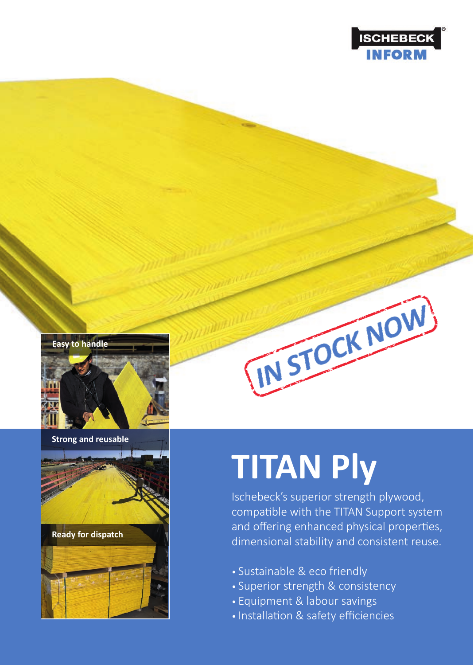

#### **Easy to handle**



**Strong and reusable**



**Ready for dispatch**



# **TITAN Ply**

Ischebeck's superior strength plywood, compatible with the TITAN Support system and offering enhanced physical properties, dimensional stability and consistent reuse.

THISTOCK NOW

- Sustainable & eco friendly
- Superior strength & consistency
- Equipment & labour savings
- Installation & safety efficiencies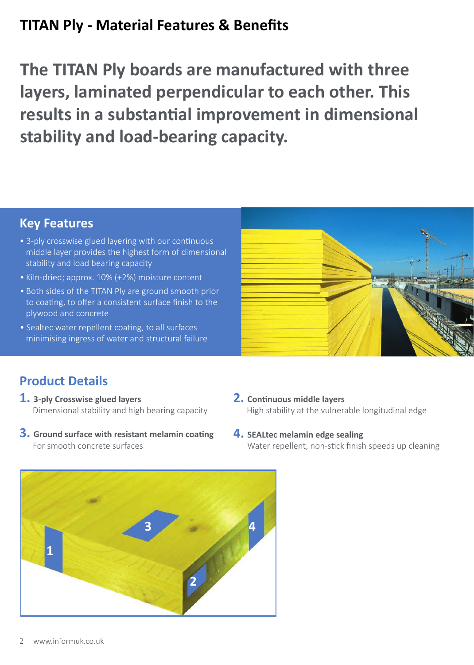# **TITAN Ply - Material Features & Benefits**

**The TITAN Ply boards are manufactured with three layers, laminated perpendicular to each other. This**  results in a substantial improvement in dimensional **stability and load-bearing capacity.**

### **Key Features**

- 3-ply crosswise glued layering with our continuous middle layer provides the highest form of dimensional stability and load bearing capacity
- Kiln-dried; approx. 10% (+2%) moisture content
- Both sides of the TITAN Ply are ground smooth prior to coating, to offer a consistent surface finish to the plywood and concrete
- Sealtec water repellent coating, to all surfaces minimising ingress of water and structural failure



## **Product Details**

- **1. 3-ply Crosswise glued layers** Dimensional stability and high bearing capacity
- **3.** Ground surface with resistant melamin coating For smooth concrete surfaces
- **2.** Continuous middle layers High stability at the vulnerable longitudinal edge
- **4. SEALtec melamin edge sealing** Water repellent, non-stick finish speeds up cleaning

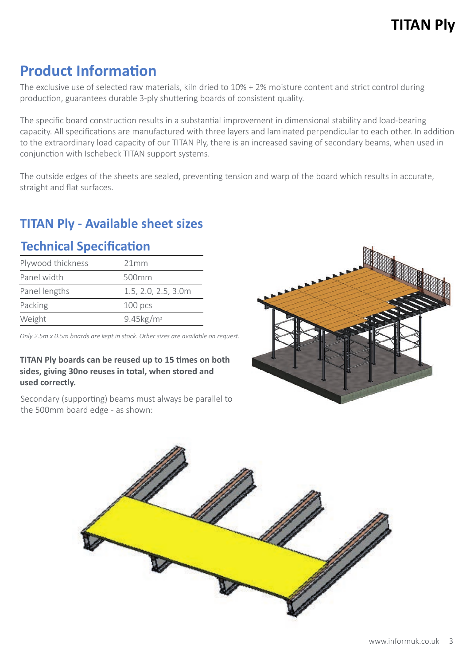# **Product Information**

The exclusive use of selected raw materials, kiln dried to 10% + 2% moisture content and strict control during production, guarantees durable 3-ply shuttering boards of consistent quality.

The specific board construction results in a substantial improvement in dimensional stability and load-bearing capacity. All specifications are manufactured with three layers and laminated perpendicular to each other. In addition to the extraordinary load capacity of our TITAN Ply, there is an increased saving of secondary beams, when used in conjunction with Ischebeck TITAN support systems.

The outside edges of the sheets are sealed, preventing tension and warp of the board which results in accurate, straight and flat surfaces.

## **TITAN Ply - Available sheet sizes**

## **Technical Specification**

| Plywood thickness | 21mm                     |
|-------------------|--------------------------|
| Panel width       | 500mm                    |
| Panel lengths     | 1.5, 2.0, 2.5, 3.0m      |
| Packing           | 100 <sub>pos</sub>       |
| Weight            | $9.45$ kg/m <sup>2</sup> |

*Only 2.5m x 0.5m boards are kept in stock. Other sizes are available on request.*

#### **TITAN Ply boards can be reused up to 15 times on both sides, giving 30no reuses in total, when stored and used correctly.**

Secondary (supporting) beams must always be parallel to the 500mm board edge - as shown:



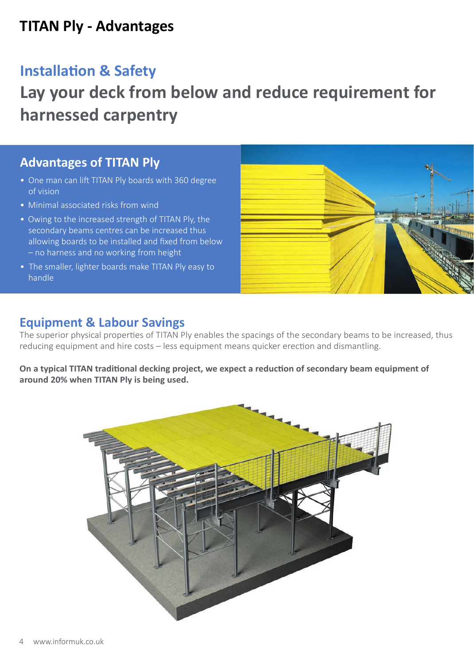# **TITAN Ply - Advantages**

## **Installation & Safety**

# **Lay your deck from below and reduce requirement for harnessed carpentry**

#### **Advantages of TITAN Ply**

- One man can lift TITAN Ply boards with 360 degree of vision
- Minimal associated risks from wind
- Owing to the increased strength of TITAN Ply, the secondary beams centres can be increased thus allowing boards to be installed and fixed from below – no harness and no working from height
- The smaller, lighter boards make TITAN Ply easy to handle



#### **Equipment & Labour Savings**

The superior physical properties of TITAN Ply enables the spacings of the secondary beams to be increased, thus reducing equipment and hire costs - less equipment means quicker erection and dismantling.

On a typical TITAN traditional decking project, we expect a reduction of secondary beam equipment of **around 20% when TITAN Ply is being used.**

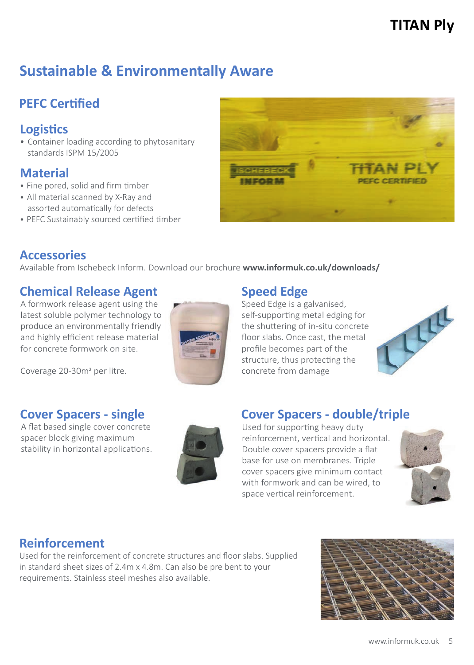# **Sustainable & Environmentally Aware**

## **PEFC Certified**

#### **Logis�cs**

• Container loading according to phytosanitary standards ISPM 15/2005

#### **Material**

- Fine pored, solid and firm timber
- All material scanned by X-Ray and assorted automatically for defects
- PEFC Sustainably sourced certified timber



#### **Accessories**

Available from Ischebeck Inform. Download our brochure **www.informuk.co.uk/downloads/**

## **Chemical Release Agent**

A formwork release agent using the latest soluble polymer technology to produce an environmentally friendly and highly efficient release material for concrete formwork on site.

#### **Speed Edge**

Speed Edge is a galvanised, self-supporting metal edging for the shuttering of in-situ concrete floor slabs. Once cast, the metal profile becomes part of the structure, thus protecting the concrete from damage



## **Cover Spacers - single**

Coverage 20-30m2 per litre.

A flat based single cover concrete spacer block giving maximum stability in horizontal applications.



## **Cover Spacers - double/triple**

Used for supporting heavy duty reinforcement, vertical and horizontal. Double cover spacers provide a flat base for use on membranes. Triple cover spacers give minimum contact with formwork and can be wired, to space vertical reinforcement.



#### **Reinforcement**

Used for the reinforcement of concrete structures and floor slabs. Supplied in standard sheet sizes of 2.4m x 4.8m. Can also be pre bent to your requirements. Stainless steel meshes also available.

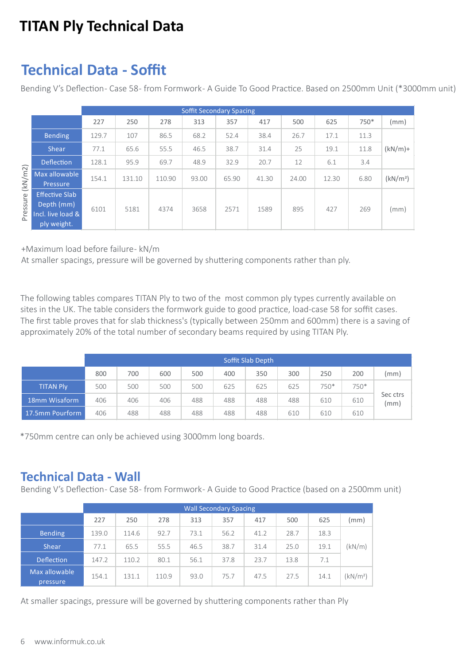# **TITAN Ply Technical Data**

# **Technical Data - Soffit**

Bending V's Deflection- Case 58- from Formwork- A Guide To Good Practice. Based on 2500mm Unit (\*3000mm unit)

|                     |                                                                         | <b>Soffit Secondary Spacing</b> |        |        |       |       |       |       |       |      |                      |
|---------------------|-------------------------------------------------------------------------|---------------------------------|--------|--------|-------|-------|-------|-------|-------|------|----------------------|
|                     |                                                                         | 227                             | 250    | 278    | 313   | 357   | 417   | 500   | 625   | 750* | (mm)                 |
| (kN/m2)<br>Pressure | <b>Bending</b>                                                          | 129.7                           | 107    | 86.5   | 68.2  | 52.4  | 38.4  | 26.7  | 17.1  | 11.3 |                      |
|                     | <b>Shear</b>                                                            | 77.1                            | 65.6   | 55.5   | 46.5  | 38.7  | 31.4  | 25    | 19.1  | 11.8 | $(kN/m)+$            |
|                     | <b>Deflection</b>                                                       | 128.1                           | 95.9   | 69.7   | 48.9  | 32.9  | 20.7  | 12    | 6.1   | 3.4  |                      |
|                     | Max allowable<br>Pressure                                               | 154.1                           | 131.10 | 110.90 | 93.00 | 65.90 | 41.30 | 24.00 | 12.30 | 6.80 | (kN/m <sup>2</sup> ) |
|                     | <b>Effective Slab</b><br>Depth (mm)<br>Incl. live load &<br>ply weight. | 6101                            | 5181   | 4374   | 3658  | 2571  | 1589  | 895   | 427   | 269  | (mm)                 |

+Maximum load before failure - kN/m

At smaller spacings, pressure will be governed by shuttering components rather than ply.

The following tables compares TITAN Ply to two of the most common ply types currently available on sites in the UK. The table considers the formwork guide to good practice, load-case 58 for soffit cases. The first table proves that for slab thickness's (typically between 250mm and 600mm) there is a saving of approximately 20% of the total number of secondary beams required by using TITAN Ply.

|                  | Soffit Slab Depth |     |     |     |     |     |     |        |        |                  |
|------------------|-------------------|-----|-----|-----|-----|-----|-----|--------|--------|------------------|
|                  | 800               | 700 | 600 | 500 | 400 | 350 | 300 | 250    | 200    | (mm)             |
| <b>TITAN Ply</b> | 500               | 500 | 500 | 500 | 625 | 625 | 625 | $750*$ | $750*$ | Sec ctrs<br>(mm) |
| 18mm Wisaform    | 406               | 406 | 406 | 488 | 488 | 488 | 488 | 610    | 610    |                  |
| 17.5mm Pourform  | 406               | 488 | 488 | 488 | 488 | 488 | 610 | 610    | 610    |                  |

\*750mm centre can only be achieved using 3000mm long boards.

#### **Technical Data - Wall**

Bending V's Deflection- Case 58- from Formwork- A Guide to Good Practice (based on a 2500mm unit)

|                           | <b>Wall Secondary Spacing</b> |       |       |      |      |      |      |      |                      |  |
|---------------------------|-------------------------------|-------|-------|------|------|------|------|------|----------------------|--|
|                           | 227                           | 250   | 278   | 313  | 357  | 417  | 500  | 625  | (mm)                 |  |
| <b>Bending</b>            | 139.0                         | 114.6 | 92.7  | 73.1 | 56.2 | 41.2 | 28.7 | 18.3 |                      |  |
| <b>Shear</b>              | 77.1                          | 65.5  | 55.5  | 46.5 | 38.7 | 31.4 | 25.0 | 19.1 | (kN/m)               |  |
| <b>Deflection</b>         | 147.2                         | 110.2 | 80.1  | 56.1 | 37.8 | 23.7 | 13.8 | 7.1  |                      |  |
| Max allowable<br>pressure | 154.1                         | 131.1 | 110.9 | 93.0 | 75.7 | 47.5 | 27.5 | 14.1 | (kN/m <sup>2</sup> ) |  |

At smaller spacings, pressure will be governed by shuttering components rather than Ply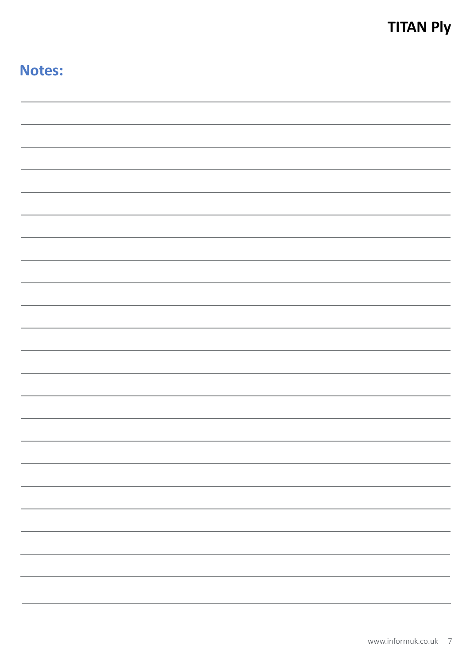# **Notes:**

| and in                   |
|--------------------------|
|                          |
|                          |
|                          |
|                          |
|                          |
|                          |
|                          |
|                          |
|                          |
|                          |
|                          |
|                          |
|                          |
|                          |
|                          |
|                          |
|                          |
|                          |
|                          |
| $\overline{\phantom{0}}$ |
|                          |
|                          |
| ÷                        |
|                          |
|                          |
| $\sim$                   |
|                          |